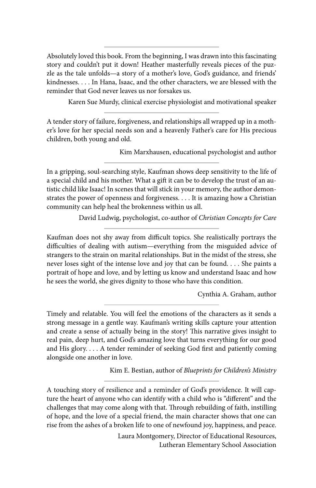Absolutely loved this book. From the beginning, I was drawn into this fascinating story and couldn't put it down! Heather masterfully reveals pieces of the puzzle as the tale unfolds—a story of a mother's love, God's guidance, and friends' kindnesses. . . . In Hana, Isaac, and the other characters, we are blessed with the reminder that God never leaves us nor forsakes us.

Karen Sue Murdy, clinical exercise physiologist and motivational speaker

A tender story of failure, forgiveness, and relationships all wrapped up in a mother's love for her special needs son and a heavenly Father's care for His precious children, both young and old.

Kim Marxhausen, educational psychologist and author

In a gripping, soul-searching style, Kaufman shows deep sensitivity to the life of a special child and his mother. What a gift it can be to develop the trust of an autistic child like Isaac! In scenes that will stick in your memory, the author demonstrates the power of openness and forgiveness. . . . It is amazing how a Christian community can help heal the brokenness within us all.

David Ludwig, psychologist, co-author of *Christian Concepts for Care*

Kaufman does not shy away from difficult topics. She realistically portrays the difficulties of dealing with autism—everything from the misguided advice of strangers to the strain on marital relationships. But in the midst of the stress, she never loses sight of the intense love and joy that can be found. . . . She paints a portrait of hope and love, and by letting us know and understand Isaac and how he sees the world, she gives dignity to those who have this condition.

Cynthia A. Graham, author

Timely and relatable. You will feel the emotions of the characters as it sends a strong message in a gentle way. Kaufman's writing skills capture your attention and create a sense of actually being in the story! This narrative gives insight to real pain, deep hurt, and God's amazing love that turns everything for our good and His glory. . . . A tender reminder of seeking God first and patiently coming alongside one another in love.

Kim E. Bestian, author of *Blueprints for Children's Ministry*

A touching story of resilience and a reminder of God's providence. It will capture the heart of anyone who can identify with a child who is "different" and the challenges that may come along with that. Through rebuilding of faith, instilling of hope, and the love of a special friend, the main character shows that one can rise from the ashes of a broken life to one of newfound joy, happiness, and peace.

> Laura Montgomery, Director of Educational Resources, Lutheran Elementary School Association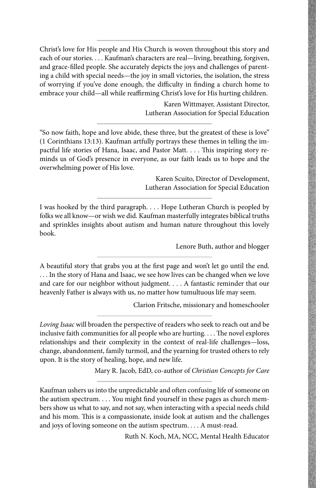Christ's love for His people and His Church is woven throughout this story and each of our stories. . . . Kaufman's characters are real—living, breathing, forgiven, and grace-filled people. She accurately depicts the joys and challenges of parenting a child with special needs—the joy in small victories, the isolation, the stress of worrying if you've done enough, the difficulty in finding a church home to embrace your child—all while reaffirming Christ's love for His hurting children.

> Karen Wittmayer, Assistant Director, Lutheran Association for Special Education

"So now faith, hope and love abide, these three, but the greatest of these is love" (1 Corinthians 13:13). Kaufman artfully portrays these themes in telling the impactful life stories of Hana, Isaac, and Pastor Matt. . . . This inspiring story reminds us of God's presence in everyone, as our faith leads us to hope and the overwhelming power of His love.

> Karen Scuito, Director of Development, Lutheran Association for Special Education

I was hooked by the third paragraph. . . . Hope Lutheran Church is peopled by folks we all know—or wish we did. Kaufman masterfully integrates biblical truths and sprinkles insights about autism and human nature throughout this lovely book.

Lenore Buth, author and blogger

A beautiful story that grabs you at the first page and won't let go until the end. . . . In the story of Hana and Isaac, we see how lives can be changed when we love and care for our neighbor without judgment. . . . A fantastic reminder that our heavenly Father is always with us, no matter how tumultuous life may seem.

Clarion Fritsche, missionary and homeschooler

*Loving Isaac* will broaden the perspective of readers who seek to reach out and be inclusive faith communities for all people who are hurting. . . . The novel explores relationships and their complexity in the context of real-life challenges—loss, change, abandonment, family turmoil, and the yearning for trusted others to rely upon. It is the story of healing, hope, and new life.

Mary R. Jacob, EdD, co-author of *Christian Concepts for Care*

Kaufman ushers us into the unpredictable and often confusing life of someone on the autism spectrum. . . . You might find yourself in these pages as church members show us what to say, and not say, when interacting with a special needs child and his mom. This is a compassionate, inside look at autism and the challenges and joys of loving someone on the autism spectrum. . . . A must-read.

Ruth N. Koch, MA, NCC, Mental Health Educator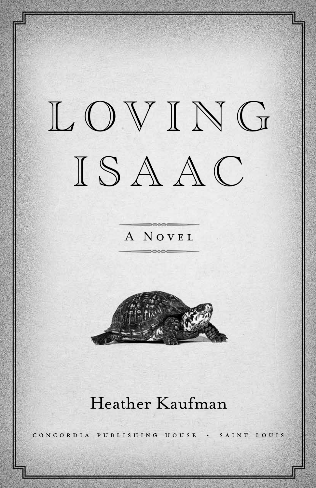# LOVING ISAAC

## A NOVEL



# Heather Kaufman

CONCORDIA PUBLISHING HOUSE · SAINT LOUIS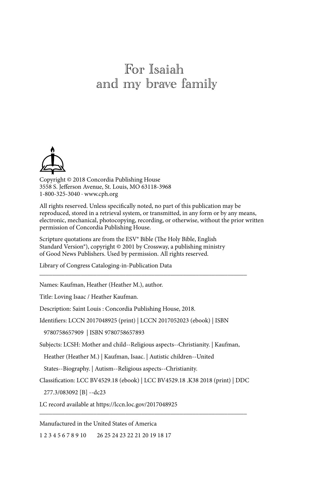### For Isaiah and my brave family



Copyright © 2018 Concordia Publishing House 3558 S. Jefferson Avenue, St. Louis, MO 63118-3968 1-800-325-3040 · www.cph.org

All rights reserved. Unless specifically noted, no part of this publication may be reproduced, stored in a retrieval system, or transmitted, in any form or by any means, electronic, mechanical, photocopying, recording, or otherwise, without the prior written permission of Concordia Publishing House.

Scripture quotations are from the ESV® Bible (The Holy Bible, English Standard Version®), copyright © 2001 by Crossway, a publishing ministry of Good News Publishers. Used by permission. All rights reserved.

\_\_\_\_\_\_\_\_\_\_\_\_\_\_\_\_\_\_\_\_\_\_\_\_\_\_\_\_\_\_\_\_\_\_\_\_\_\_\_\_\_\_\_\_\_\_\_\_\_\_\_\_\_\_\_\_\_\_\_\_\_\_\_\_\_

Library of Congress Cataloging-in-Publication Data

Names: Kaufman, Heather (Heather M.), author.

Title: Loving Isaac / Heather Kaufman.

Description: Saint Louis : Concordia Publishing House, 2018.

Identifiers: LCCN 2017048925 (print) | LCCN 2017052023 (ebook) | ISBN

9780758657909 | ISBN 9780758657893

Subjects: LCSH: Mother and child--Religious aspects--Christianity. | Kaufman,

Heather (Heather M.) | Kaufman, Isaac. | Autistic children--United

States--Biography. | Autism--Religious aspects--Christianity.

Classification: LCC BV4529.18 (ebook) | LCC BV4529.18 .K38 2018 (print) | DDC

\_\_\_\_\_\_\_\_\_\_\_\_\_\_\_\_\_\_\_\_\_\_\_\_\_\_\_\_\_\_\_\_\_\_\_\_\_\_\_\_\_\_\_\_\_\_\_\_\_\_\_\_\_\_\_\_\_\_\_\_\_\_\_\_\_

277.3/083092 [B] --dc23

LC record available at https://lccn.loc.gov/2017048925

Manufactured in the United States of America

1 2 3 4 5 6 7 8 9 10 26 25 24 23 22 21 20 19 18 17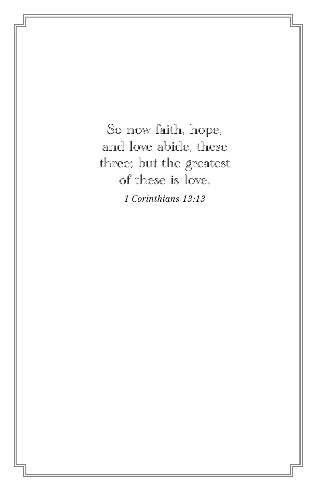So now faith, hope, and love abide, these three; but the greatest of these is love. *1 Corinthians 13:13*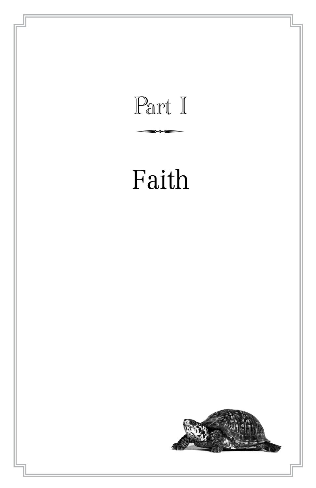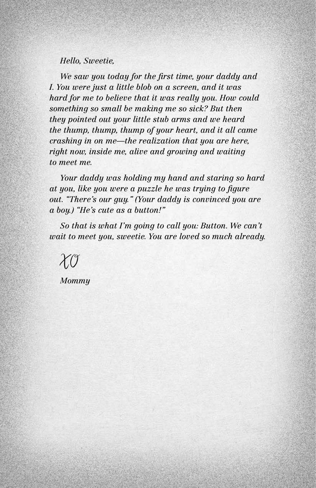#### *Hello, Sweetie,*

*We saw you today for the first time, your daddy and I. You were just a little blob on a screen, and it was hard for me to believe that it was really you. How could something so small be making me so sick? But then they pointed out your little stub arms and we heard the thump, thump, thump of your heart, and it all came crashing in on me—the realization that you are here, right now, inside me, alive and growing and waiting to meet me.*

*Your daddy was holding my hand and staring so hard at you, like you were a puzzle he was trying to figure out. "There's our guy." (Your daddy is convinced you are a boy.) "He's cute as a button!"*

*So that is what I'm going to call you: Button. We can't wait to meet you, sweetie. You are loved so much already.*

 $\chi_{\mathcal{O}}$ 

*Mommy*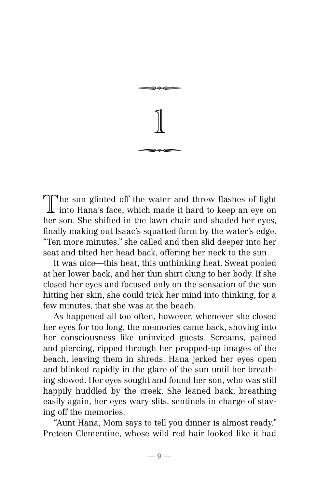q  $\mathbb{I}$  $\frac{1}{\sqrt{1-\frac{1}{2}}\sqrt{1-\frac{1}{2}}\sqrt{1-\frac{1}{2}}\sqrt{1-\frac{1}{2}}\sqrt{1-\frac{1}{2}}\sqrt{1-\frac{1}{2}}\sqrt{1-\frac{1}{2}}\sqrt{1-\frac{1}{2}}\sqrt{1-\frac{1}{2}}\sqrt{1-\frac{1}{2}}\sqrt{1-\frac{1}{2}}\sqrt{1-\frac{1}{2}}\sqrt{1-\frac{1}{2}}\sqrt{1-\frac{1}{2}}\sqrt{1-\frac{1}{2}}\sqrt{1-\frac{1}{2}}\sqrt{1-\frac{1}{2}}\sqrt{1-\frac{1}{2}}\sqrt{1-\frac{1}{2}}\sqrt{1-\frac$ 

The sun glinted off the water and threw flashes of light into Hana's face, which made it hard to keep an eye on her son. She shifted in the lawn chair and shaded her eyes, finally making out Isaac's squatted form by the water's edge. "Ten more minutes," she called and then slid deeper into her seat and tilted her head back, offering her neck to the sun.

It was nice—this heat, this unthinking heat. Sweat pooled at her lower back, and her thin shirt clung to her body. If she closed her eyes and focused only on the sensation of the sun hitting her skin, she could trick her mind into thinking, for a few minutes, that she was at the beach.

As happened all too often, however, whenever she closed her eyes for too long, the memories came back, shoving into her consciousness like uninvited guests. Screams, pained and piercing, ripped through her propped-up images of the beach, leaving them in shreds. Hana jerked her eyes open and blinked rapidly in the glare of the sun until her breathing slowed. Her eyes sought and found her son, who was still happily huddled by the creek. She leaned back, breathing easily again, her eyes wary slits, sentinels in charge of staving off the memories.

"Aunt Hana, Mom says to tell you dinner is almost ready." Preteen Clementine, whose wild red hair looked like it had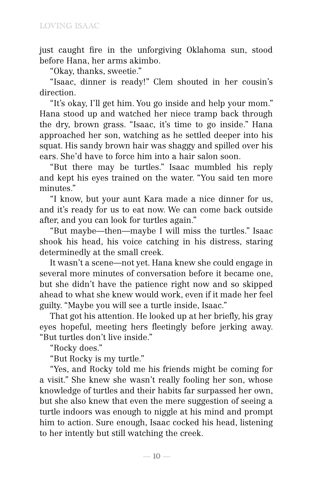just caught fire in the unforgiving Oklahoma sun, stood before Hana, her arms akimbo.

"Okay, thanks, sweetie."

"Isaac, dinner is ready!" Clem shouted in her cousin's direction.

"It's okay, I'll get him. You go inside and help your mom." Hana stood up and watched her niece tramp back through the dry, brown grass. "Isaac, it's time to go inside." Hana approached her son, watching as he settled deeper into his squat. His sandy brown hair was shaggy and spilled over his ears. She'd have to force him into a hair salon soon.

"But there may be turtles." Isaac mumbled his reply and kept his eyes trained on the water. "You said ten more minutes."

"I know, but your aunt Kara made a nice dinner for us, and it's ready for us to eat now. We can come back outside after, and you can look for turtles again."

"But maybe—then—maybe I will miss the turtles." Isaac shook his head, his voice catching in his distress, staring determinedly at the small creek.

It wasn't a scene—not yet. Hana knew she could engage in several more minutes of conversation before it became one, but she didn't have the patience right now and so skipped ahead to what she knew would work, even if it made her feel guilty. "Maybe you will see a turtle inside, Isaac."

That got his attention. He looked up at her briefly, his gray eyes hopeful, meeting hers fleetingly before jerking away. "But turtles don't live inside."

"Rocky does."

"But Rocky is my turtle."

"Yes, and Rocky told me his friends might be coming for a visit." She knew she wasn't really fooling her son, whose knowledge of turtles and their habits far surpassed her own, but she also knew that even the mere suggestion of seeing a turtle indoors was enough to niggle at his mind and prompt him to action. Sure enough, Isaac cocked his head, listening to her intently but still watching the creek.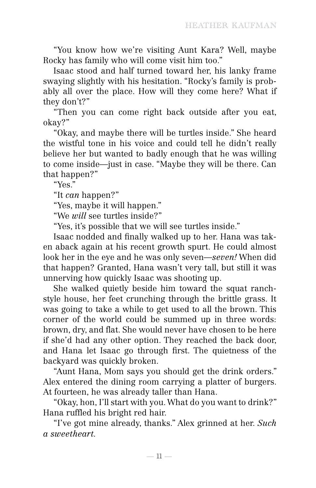"You know how we're visiting Aunt Kara? Well, maybe Rocky has family who will come visit him too."

Isaac stood and half turned toward her, his lanky frame swaying slightly with his hesitation. "Rocky's family is probably all over the place. How will they come here? What if they don't?"

"Then you can come right back outside after you eat, okay?"

"Okay, and maybe there will be turtles inside." She heard the wistful tone in his voice and could tell he didn't really believe her but wanted to badly enough that he was willing to come inside—just in case. "Maybe they will be there. Can that happen?"

"Yes."

"It *can* happen?"

"Yes, maybe it will happen."

"We *will* see turtles inside?"

"Yes, it's possible that we will see turtles inside."

Isaac nodded and finally walked up to her. Hana was taken aback again at his recent growth spurt. He could almost look her in the eye and he was only seven—*seven!* When did that happen? Granted, Hana wasn't very tall, but still it was unnerving how quickly Isaac was shooting up.

She walked quietly beside him toward the squat ranchstyle house, her feet crunching through the brittle grass. It was going to take a while to get used to all the brown. This corner of the world could be summed up in three words: brown, dry, and flat. She would never have chosen to be here if she'd had any other option. They reached the back door, and Hana let Isaac go through first. The quietness of the backyard was quickly broken.

"Aunt Hana, Mom says you should get the drink orders." Alex entered the dining room carrying a platter of burgers. At fourteen, he was already taller than Hana.

"Okay, hon, I'll start with you. What do you want to drink?" Hana ruffled his bright red hair.

"I've got mine already, thanks." Alex grinned at her. *Such a sweetheart.*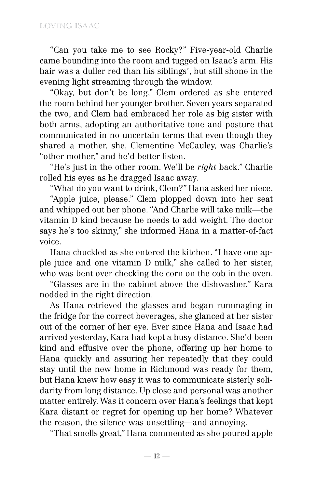"Can you take me to see Rocky?" Five-year-old Charlie came bounding into the room and tugged on Isaac's arm. His hair was a duller red than his siblings', but still shone in the evening light streaming through the window.

"Okay, but don't be long," Clem ordered as she entered the room behind her younger brother. Seven years separated the two, and Clem had embraced her role as big sister with both arms, adopting an authoritative tone and posture that communicated in no uncertain terms that even though they shared a mother, she, Clementine McCauley, was Charlie's "other mother," and he'd better listen.

"He's just in the other room. We'll be *right* back." Charlie rolled his eyes as he dragged Isaac away.

"What do you want to drink, Clem?" Hana asked her niece. "Apple juice, please." Clem plopped down into her seat and whipped out her phone. "And Charlie will take milk—the vitamin D kind because he needs to add weight. The doctor

says he's too skinny," she informed Hana in a matter-of-fact voice.

Hana chuckled as she entered the kitchen. "I have one apple juice and one vitamin D milk," she called to her sister, who was bent over checking the corn on the cob in the oven.

"Glasses are in the cabinet above the dishwasher." Kara nodded in the right direction.

As Hana retrieved the glasses and began rummaging in the fridge for the correct beverages, she glanced at her sister out of the corner of her eye. Ever since Hana and Isaac had arrived yesterday, Kara had kept a busy distance. She'd been kind and effusive over the phone, offering up her home to Hana quickly and assuring her repeatedly that they could stay until the new home in Richmond was ready for them, but Hana knew how easy it was to communicate sisterly solidarity from long distance. Up close and personal was another matter entirely. Was it concern over Hana's feelings that kept Kara distant or regret for opening up her home? Whatever the reason, the silence was unsettling—and annoying.

"That smells great," Hana commented as she poured apple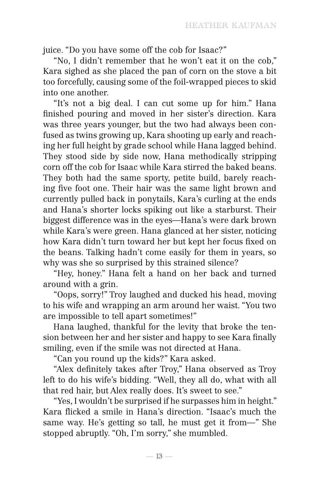juice. "Do you have some off the cob for Isaac?"

"No, I didn't remember that he won't eat it on the cob," Kara sighed as she placed the pan of corn on the stove a bit too forcefully, causing some of the foil-wrapped pieces to skid into one another.

"It's not a big deal. I can cut some up for him." Hana finished pouring and moved in her sister's direction. Kara was three years younger, but the two had always been confused as twins growing up, Kara shooting up early and reaching her full height by grade school while Hana lagged behind. They stood side by side now, Hana methodically stripping corn off the cob for Isaac while Kara stirred the baked beans. They both had the same sporty, petite build, barely reaching five foot one. Their hair was the same light brown and currently pulled back in ponytails, Kara's curling at the ends and Hana's shorter locks spiking out like a starburst. Their biggest difference was in the eyes—Hana's were dark brown while Kara's were green. Hana glanced at her sister, noticing how Kara didn't turn toward her but kept her focus fixed on the beans. Talking hadn't come easily for them in years, so why was she so surprised by this strained silence?

"Hey, honey." Hana felt a hand on her back and turned around with a grin.

"Oops, sorry!" Troy laughed and ducked his head, moving to his wife and wrapping an arm around her waist. "You two are impossible to tell apart sometimes!"

Hana laughed, thankful for the levity that broke the tension between her and her sister and happy to see Kara finally smiling, even if the smile was not directed at Hana.

"Can you round up the kids?" Kara asked.

"Alex definitely takes after Troy," Hana observed as Troy left to do his wife's bidding. "Well, they all do, what with all that red hair, but Alex really does. It's sweet to see."

"Yes, I wouldn't be surprised if he surpasses him in height." Kara flicked a smile in Hana's direction. "Isaac's much the same way. He's getting so tall, he must get it from—" She stopped abruptly. "Oh, I'm sorry," she mumbled.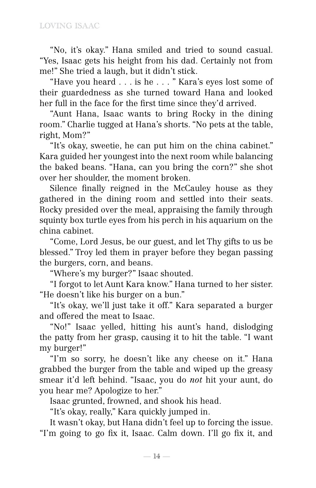"No, it's okay." Hana smiled and tried to sound casual. "Yes, Isaac gets his height from his dad. Certainly not from me!" She tried a laugh, but it didn't stick.

"Have you heard . . . is he . . . " Kara's eyes lost some of their guardedness as she turned toward Hana and looked her full in the face for the first time since they'd arrived.

"Aunt Hana, Isaac wants to bring Rocky in the dining room." Charlie tugged at Hana's shorts. "No pets at the table, right, Mom?"

"It's okay, sweetie, he can put him on the china cabinet." Kara guided her youngest into the next room while balancing the baked beans. "Hana, can you bring the corn?" she shot over her shoulder, the moment broken.

Silence finally reigned in the McCauley house as they gathered in the dining room and settled into their seats. Rocky presided over the meal, appraising the family through squinty box turtle eyes from his perch in his aquarium on the china cabinet.

"Come, Lord Jesus, be our guest, and let Thy gifts to us be blessed." Troy led them in prayer before they began passing the burgers, corn, and beans.

"Where's my burger?" Isaac shouted.

"I forgot to let Aunt Kara know." Hana turned to her sister. "He doesn't like his burger on a bun."

"It's okay, we'll just take it off." Kara separated a burger and offered the meat to Isaac.

"No!" Isaac yelled, hitting his aunt's hand, dislodging the patty from her grasp, causing it to hit the table. "I want my burger!"

"I'm so sorry, he doesn't like any cheese on it." Hana grabbed the burger from the table and wiped up the greasy smear it'd left behind. "Isaac, you do *not* hit your aunt, do you hear me? Apologize to her."

Isaac grunted, frowned, and shook his head.

"It's okay, really," Kara quickly jumped in.

It wasn't okay, but Hana didn't feel up to forcing the issue. "I'm going to go fix it, Isaac. Calm down. I'll go fix it, and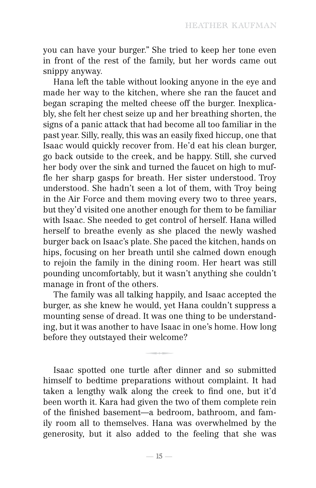you can have your burger." She tried to keep her tone even in front of the rest of the family, but her words came out snippy anyway.

Hana left the table without looking anyone in the eye and made her way to the kitchen, where she ran the faucet and began scraping the melted cheese off the burger. Inexplicably, she felt her chest seize up and her breathing shorten, the signs of a panic attack that had become all too familiar in the past year. Silly, really, this was an easily fixed hiccup, one that Isaac would quickly recover from. He'd eat his clean burger, go back outside to the creek, and be happy. Still, she curved her body over the sink and turned the faucet on high to muffle her sharp gasps for breath. Her sister understood. Troy understood. She hadn't seen a lot of them, with Troy being in the Air Force and them moving every two to three years, but they'd visited one another enough for them to be familiar with Isaac. She needed to get control of herself. Hana willed herself to breathe evenly as she placed the newly washed burger back on Isaac's plate. She paced the kitchen, hands on hips, focusing on her breath until she calmed down enough to rejoin the family in the dining room. Her heart was still pounding uncomfortably, but it wasn't anything she couldn't manage in front of the others.

The family was all talking happily, and Isaac accepted the burger, as she knew he would, yet Hana couldn't suppress a mounting sense of dread. It was one thing to be understanding, but it was another to have Isaac in one's home. How long before they outstayed their welcome?<br>  $\overline{\phantom{a}}$ 

Isaac spotted one turtle after dinner and so submitted himself to bedtime preparations without complaint. It had taken a lengthy walk along the creek to find one, but it'd been worth it. Kara had given the two of them complete rein of the finished basement—a bedroom, bathroom, and family room all to themselves. Hana was overwhelmed by the generosity, but it also added to the feeling that she was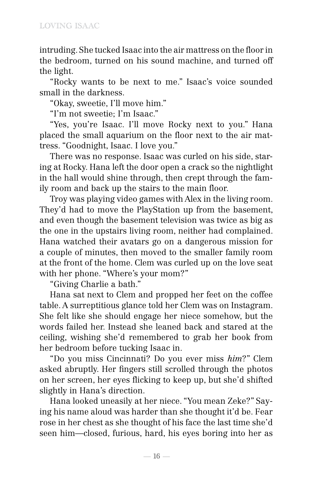intruding. She tucked Isaac into the air mattress on the floor in the bedroom, turned on his sound machine, and turned off the light.

"Rocky wants to be next to me." Isaac's voice sounded small in the darkness.

"Okay, sweetie, I'll move him."

"I'm not sweetie; I'm Isaac."

"Yes, you're Isaac. I'll move Rocky next to you." Hana placed the small aquarium on the floor next to the air mattress. "Goodnight, Isaac. I love you."

There was no response. Isaac was curled on his side, staring at Rocky. Hana left the door open a crack so the nightlight in the hall would shine through, then crept through the family room and back up the stairs to the main floor.

Troy was playing video games with Alex in the living room. They'd had to move the PlayStation up from the basement, and even though the basement television was twice as big as the one in the upstairs living room, neither had complained. Hana watched their avatars go on a dangerous mission for a couple of minutes, then moved to the smaller family room at the front of the home. Clem was curled up on the love seat with her phone. "Where's your mom?"

"Giving Charlie a bath."

Hana sat next to Clem and propped her feet on the coffee table. A surreptitious glance told her Clem was on Instagram. She felt like she should engage her niece somehow, but the words failed her. Instead she leaned back and stared at the ceiling, wishing she'd remembered to grab her book from her bedroom before tucking Isaac in.

"Do you miss Cincinnati? Do you ever miss *him*?" Clem asked abruptly. Her fingers still scrolled through the photos on her screen, her eyes flicking to keep up, but she'd shifted slightly in Hana's direction.

Hana looked uneasily at her niece. "You mean Zeke?" Saying his name aloud was harder than she thought it'd be. Fear rose in her chest as she thought of his face the last time she'd seen him—closed, furious, hard, his eyes boring into her as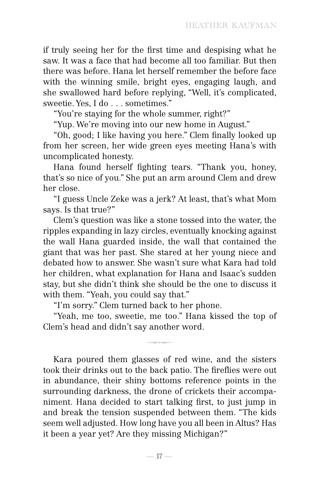if truly seeing her for the first time and despising what he saw. It was a face that had become all too familiar. But then there was before. Hana let herself remember the before face with the winning smile, bright eyes, engaging laugh, and she swallowed hard before replying, "Well, it's complicated, sweetie. Yes, I do . . . sometimes."

"You're staying for the whole summer, right?"

"Yup. We're moving into our new home in August."

"Oh, good; I like having you here." Clem finally looked up from her screen, her wide green eyes meeting Hana's with uncomplicated honesty.

Hana found herself fighting tears. "Thank you, honey, that's so nice of you." She put an arm around Clem and drew her close.

"I guess Uncle Zeke was a jerk? At least, that's what Mom says. Is that true?"

Clem's question was like a stone tossed into the water, the ripples expanding in lazy circles, eventually knocking against the wall Hana guarded inside, the wall that contained the giant that was her past. She stared at her young niece and debated how to answer. She wasn't sure what Kara had told her children, what explanation for Hana and Isaac's sudden stay, but she didn't think she should be the one to discuss it with them. "Yeah, you could say that."

"I'm sorry." Clem turned back to her phone.

"Yeah, me too, sweetie, me too." Hana kissed the top of Clem's head and didn't say another word. q

Kara poured them glasses of red wine, and the sisters took their drinks out to the back patio. The fireflies were out in abundance, their shiny bottoms reference points in the surrounding darkness, the drone of crickets their accompaniment. Hana decided to start talking first, to just jump in and break the tension suspended between them. "The kids seem well adjusted. How long have you all been in Altus? Has it been a year yet? Are they missing Michigan?"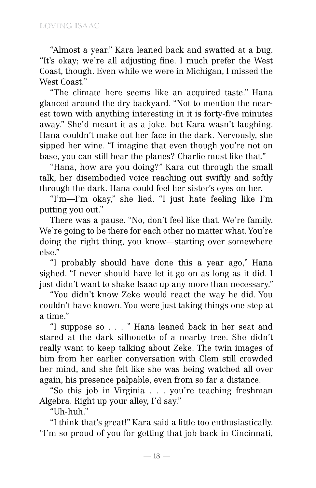"Almost a year." Kara leaned back and swatted at a bug. "It's okay; we're all adjusting fine. I much prefer the West Coast, though. Even while we were in Michigan, I missed the West Coast."

"The climate here seems like an acquired taste." Hana glanced around the dry backyard. "Not to mention the nearest town with anything interesting in it is forty-five minutes away." She'd meant it as a joke, but Kara wasn't laughing. Hana couldn't make out her face in the dark. Nervously, she sipped her wine. "I imagine that even though you're not on base, you can still hear the planes? Charlie must like that."

"Hana, how are you doing?" Kara cut through the small talk, her disembodied voice reaching out swiftly and softly through the dark. Hana could feel her sister's eyes on her.

"I'm—I'm okay," she lied. "I just hate feeling like I'm putting you out."

There was a pause. "No, don't feel like that. We're family. We're going to be there for each other no matter what. You're doing the right thing, you know—starting over somewhere else."

"I probably should have done this a year ago," Hana sighed. "I never should have let it go on as long as it did. I just didn't want to shake Isaac up any more than necessary."

"You didn't know Zeke would react the way he did. You couldn't have known. You were just taking things one step at a time"

"I suppose so . . . " Hana leaned back in her seat and stared at the dark silhouette of a nearby tree. She didn't really want to keep talking about Zeke. The twin images of him from her earlier conversation with Clem still crowded her mind, and she felt like she was being watched all over again, his presence palpable, even from so far a distance.

"So this job in Virginia . . . you're teaching freshman Algebra. Right up your alley, I'd say."

"Uh-huh."

"I think that's great!" Kara said a little too enthusiastically. "I'm so proud of you for getting that job back in Cincinnati,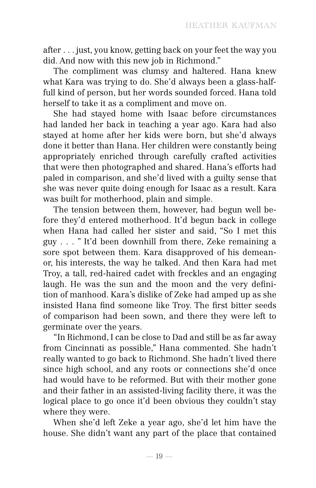after . . . just, you know, getting back on your feet the way you did. And now with this new job in Richmond."

The compliment was clumsy and haltered. Hana knew what Kara was trying to do. She'd always been a glass-halffull kind of person, but her words sounded forced. Hana told herself to take it as a compliment and move on.

She had stayed home with Isaac before circumstances had landed her back in teaching a year ago. Kara had also stayed at home after her kids were born, but she'd always done it better than Hana. Her children were constantly being appropriately enriched through carefully crafted activities that were then photographed and shared. Hana's efforts had paled in comparison, and she'd lived with a guilty sense that she was never quite doing enough for Isaac as a result. Kara was built for motherhood, plain and simple.

The tension between them, however, had begun well before they'd entered motherhood. It'd begun back in college when Hana had called her sister and said, "So I met this guy . . . " It'd been downhill from there, Zeke remaining a sore spot between them. Kara disapproved of his demeanor, his interests, the way he talked. And then Kara had met Troy, a tall, red-haired cadet with freckles and an engaging laugh. He was the sun and the moon and the very definition of manhood. Kara's dislike of Zeke had amped up as she insisted Hana find someone like Troy. The first bitter seeds of comparison had been sown, and there they were left to germinate over the years.

"In Richmond, I can be close to Dad and still be as far away from Cincinnati as possible," Hana commented. She hadn't really wanted to go back to Richmond. She hadn't lived there since high school, and any roots or connections she'd once had would have to be reformed. But with their mother gone and their father in an assisted-living facility there, it was the logical place to go once it'd been obvious they couldn't stay where they were.

When she'd left Zeke a year ago, she'd let him have the house. She didn't want any part of the place that contained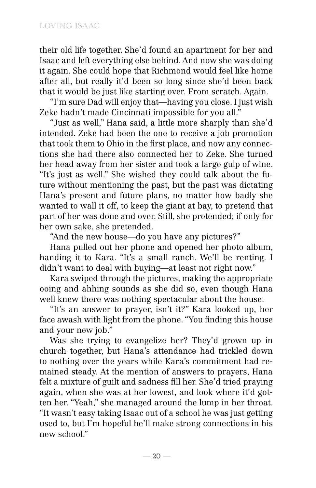their old life together. She'd found an apartment for her and Isaac and left everything else behind. And now she was doing it again. She could hope that Richmond would feel like home after all, but really it'd been so long since she'd been back that it would be just like starting over. From scratch. Again.

"I'm sure Dad will enjoy that—having you close. I just wish Zeke hadn't made Cincinnati impossible for you all."

"Just as well," Hana said, a little more sharply than she'd intended. Zeke had been the one to receive a job promotion that took them to Ohio in the first place, and now any connections she had there also connected her to Zeke. She turned her head away from her sister and took a large gulp of wine. "It's just as well." She wished they could talk about the future without mentioning the past, but the past was dictating Hana's present and future plans, no matter how badly she wanted to wall it off, to keep the giant at bay, to pretend that part of her was done and over. Still, she pretended; if only for her own sake, she pretended.

"And the new house—do you have any pictures?"

Hana pulled out her phone and opened her photo album, handing it to Kara. "It's a small ranch. We'll be renting. I didn't want to deal with buying—at least not right now."

Kara swiped through the pictures, making the appropriate ooing and ahhing sounds as she did so, even though Hana well knew there was nothing spectacular about the house.

"It's an answer to prayer, isn't it?" Kara looked up, her face awash with light from the phone. "You finding this house and your new job."

Was she trying to evangelize her? They'd grown up in church together, but Hana's attendance had trickled down to nothing over the years while Kara's commitment had remained steady. At the mention of answers to prayers, Hana felt a mixture of guilt and sadness fill her. She'd tried praying again, when she was at her lowest, and look where it'd gotten her. "Yeah," she managed around the lump in her throat. "It wasn't easy taking Isaac out of a school he was just getting used to, but I'm hopeful he'll make strong connections in his new school."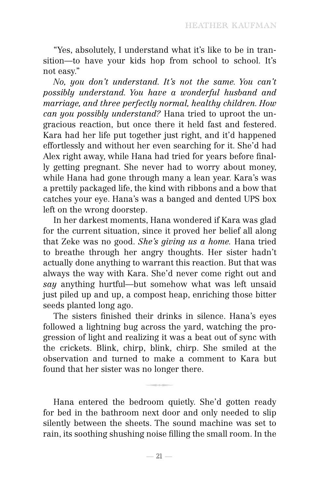"Yes, absolutely, I understand what it's like to be in transition—to have your kids hop from school to school. It's not easy."

*No, you don't understand. It's not the same. You can't possibly understand. You have a wonderful husband and marriage, and three perfectly normal, healthy children. How can you possibly understand?* Hana tried to uproot the ungracious reaction, but once there it held fast and festered. Kara had her life put together just right, and it'd happened effortlessly and without her even searching for it. She'd had Alex right away, while Hana had tried for years before finally getting pregnant. She never had to worry about money, while Hana had gone through many a lean year. Kara's was a prettily packaged life, the kind with ribbons and a bow that catches your eye. Hana's was a banged and dented UPS box left on the wrong doorstep.

In her darkest moments, Hana wondered if Kara was glad for the current situation, since it proved her belief all along that Zeke was no good. *She's giving us a home.* Hana tried to breathe through her angry thoughts. Her sister hadn't actually done anything to warrant this reaction. But that was always the way with Kara. She'd never come right out and *say* anything hurtful—but somehow what was left unsaid just piled up and up, a compost heap, enriching those bitter seeds planted long ago.

The sisters finished their drinks in silence. Hana's eyes followed a lightning bug across the yard, watching the progression of light and realizing it was a beat out of sync with the crickets. Blink, chirp, blink, chirp. She smiled at the observation and turned to make a comment to Kara but found that her sister was no longer there.

Hana entered the bedroom quietly. She'd gotten ready for bed in the bathroom next door and only needed to slip silently between the sheets. The sound machine was set to rain, its soothing shushing noise filling the small room. In the